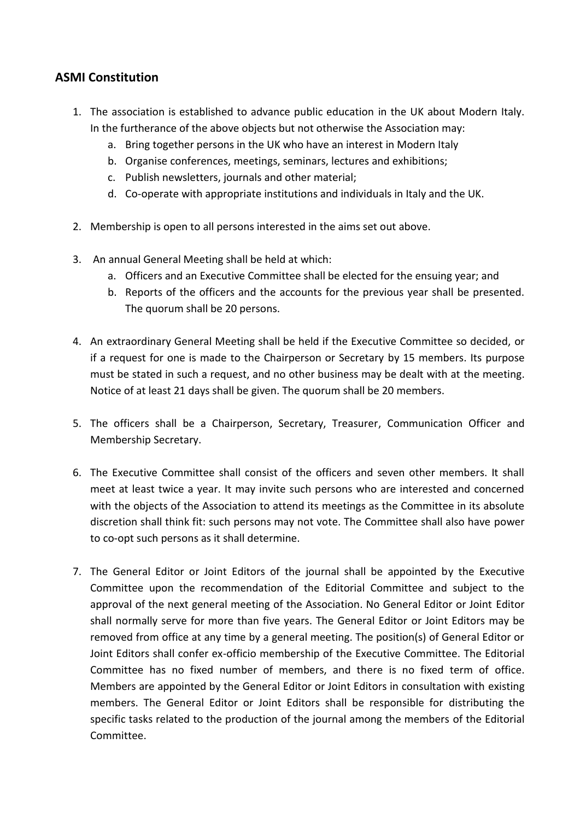## **ASMI Constitution**

- 1. The association is established to advance public education in the UK about Modern Italy. In the furtherance of the above objects but not otherwise the Association may:
	- a. Bring together persons in the UK who have an interest in Modern Italy
	- b. Organise conferences, meetings, seminars, lectures and exhibitions;
	- c. Publish newsletters, journals and other material;
	- d. Co-operate with appropriate institutions and individuals in Italy and the UK.
- 2. Membership is open to all persons interested in the aims set out above.
- 3. An annual General Meeting shall be held at which:
	- a. Officers and an Executive Committee shall be elected for the ensuing year; and
	- b. Reports of the officers and the accounts for the previous year shall be presented. The quorum shall be 20 persons.
- 4. An extraordinary General Meeting shall be held if the Executive Committee so decided, or if a request for one is made to the Chairperson or Secretary by 15 members. Its purpose must be stated in such a request, and no other business may be dealt with at the meeting. Notice of at least 21 days shall be given. The quorum shall be 20 members.
- 5. The officers shall be a Chairperson, Secretary, Treasurer, Communication Officer and Membership Secretary.
- 6. The Executive Committee shall consist of the officers and seven other members. It shall meet at least twice a year. It may invite such persons who are interested and concerned with the objects of the Association to attend its meetings as the Committee in its absolute discretion shall think fit: such persons may not vote. The Committee shall also have power to co-opt such persons as it shall determine.
- 7. The General Editor or Joint Editors of the journal shall be appointed by the Executive Committee upon the recommendation of the Editorial Committee and subject to the approval of the next general meeting of the Association. No General Editor or Joint Editor shall normally serve for more than five years. The General Editor or Joint Editors may be removed from office at any time by a general meeting. The position(s) of General Editor or Joint Editors shall confer ex-officio membership of the Executive Committee. The Editorial Committee has no fixed number of members, and there is no fixed term of office. Members are appointed by the General Editor or Joint Editors in consultation with existing members. The General Editor or Joint Editors shall be responsible for distributing the specific tasks related to the production of the journal among the members of the Editorial Committee.